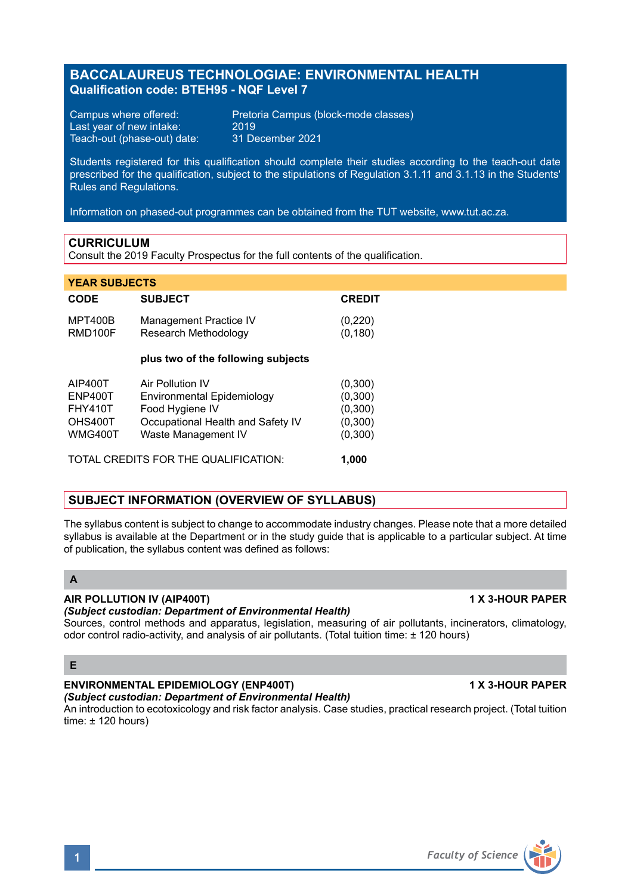# **Qualification code: BTEH95 - NQF Level 7**

**BACCALAUREUS TECHNOLOGIAE: ENVIRONMENTAL HEALTH**

Last year of new intake: 2019<br>Teach-out (phase-out) date: 31 December 2021 Teach-out (phase-out) date:

Campus where offered: Pretoria Campus (block-mode classes)

Students registered for this qualification should complete their studies according to the teach-out date prescribed for the qualification, subject to the stipulations of Regulation 3.1.11 and 3.1.13 in the Students' Rules and Regulations.

Information on phased-out programmes can be obtained from the TUT website, www.tut.ac.za.

#### **CURRICULUM**

Consult the 2019 Faculty Prospectus for the full contents of the qualification.

#### **YEAR SUBJECTS**

| <b>CODE</b>                                                       | <b>SUBJECT</b>                                                                                                                | <b>CREDIT</b>                                        |
|-------------------------------------------------------------------|-------------------------------------------------------------------------------------------------------------------------------|------------------------------------------------------|
| <b>MPT400B</b><br>RMD100F                                         | <b>Management Practice IV</b><br>Research Methodology                                                                         | (0, 220)<br>(0, 180)                                 |
|                                                                   | plus two of the following subjects                                                                                            |                                                      |
| AIP400T<br><b>ENP400T</b><br><b>FHY410T</b><br>OHS400T<br>WMG400T | Air Pollution IV<br>Environmental Epidemiology<br>Food Hygiene IV<br>Occupational Health and Safety IV<br>Waste Management IV | (0,300)<br>(0,300)<br>(0,300)<br>(0,300)<br>(0, 300) |
| TOTAL CREDITS FOR THE QUALIFICATION:                              |                                                                                                                               |                                                      |

### **SUBJECT INFORMATION (OVERVIEW OF SYLLABUS)**

The syllabus content is subject to change to accommodate industry changes. Please note that a more detailed syllabus is available at the Department or in the study guide that is applicable to a particular subject. At time of publication, the syllabus content was defined as follows:

# **A**

# **AIR POLLUTION IV (AIP400T) 1 X 3-HOUR PAPER**

#### *(Subject custodian: Department of Environmental Health)*

Sources, control methods and apparatus, legislation, measuring of air pollutants, incinerators, climatology, odor control radio-activity, and analysis of air pollutants. (Total tuition time: ± 120 hours)

#### **E**

# **ENVIRONMENTAL EPIDEMIOLOGY (ENP400T) 1 X 3-HOUR PAPER**

*(Subject custodian: Department of Environmental Health)*

An introduction to ecotoxicology and risk factor analysis. Case studies, practical research project. (Total tuition time:  $\pm$  120 hours)